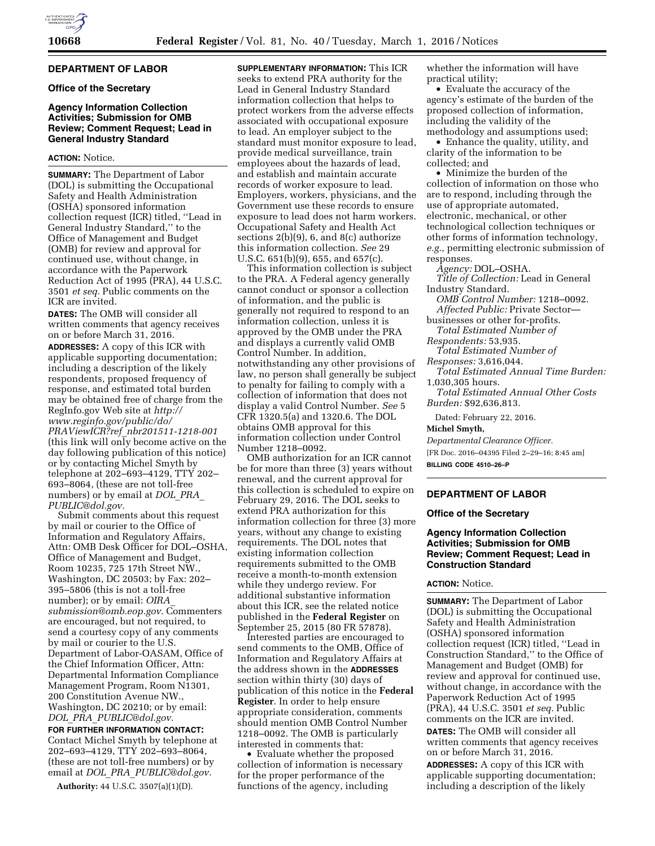## **DEPARTMENT OF LABOR**

#### **Office of the Secretary**

## **Agency Information Collection Activities; Submission for OMB Review; Comment Request; Lead in General Industry Standard**

## **ACTION:** Notice.

**SUMMARY:** The Department of Labor (DOL) is submitting the Occupational Safety and Health Administration (OSHA) sponsored information collection request (ICR) titled, ''Lead in General Industry Standard,'' to the Office of Management and Budget (OMB) for review and approval for continued use, without change, in accordance with the Paperwork Reduction Act of 1995 (PRA), 44 U.S.C. 3501 *et seq.* Public comments on the ICR are invited.

**DATES:** The OMB will consider all written comments that agency receives on or before March 31, 2016.

**ADDRESSES:** A copy of this ICR with applicable supporting documentation; including a description of the likely respondents, proposed frequency of response, and estimated total burden may be obtained free of charge from the RegInfo.gov Web site at *[http://](http://www.reginfo.gov/public/do/PRAViewICR?ref_nbr201511-1218-001) [www.reginfo.gov/public/do/](http://www.reginfo.gov/public/do/PRAViewICR?ref_nbr201511-1218-001) PRAViewICR?ref*\_*[nbr201511-1218-001](http://www.reginfo.gov/public/do/PRAViewICR?ref_nbr201511-1218-001)*  (this link will only become active on the day following publication of this notice) or by contacting Michel Smyth by telephone at 202–693–4129, TTY 202– 693–8064, (these are not toll-free numbers) or by email at *[DOL](mailto:DOL_PRA_PUBLIC@dol.gov)*\_*PRA*\_ *[PUBLIC@dol.gov.](mailto:DOL_PRA_PUBLIC@dol.gov)* 

Submit comments about this request by mail or courier to the Office of Information and Regulatory Affairs, Attn: OMB Desk Officer for DOL–OSHA, Office of Management and Budget, Room 10235, 725 17th Street NW., Washington, DC 20503; by Fax: 202– 395–5806 (this is not a toll-free number); or by email: *[OIRA](mailto:OIRA_submission@omb.eop.gov)*\_ *[submission@omb.eop.gov.](mailto:OIRA_submission@omb.eop.gov)* Commenters are encouraged, but not required, to send a courtesy copy of any comments by mail or courier to the U.S. Department of Labor-OASAM, Office of the Chief Information Officer, Attn: Departmental Information Compliance Management Program, Room N1301, 200 Constitution Avenue NW., Washington, DC 20210; or by email: *DOL*\_*PRA*\_*[PUBLIC@dol.gov.](mailto:DOL_PRA_PUBLIC@dol.gov)* 

**FOR FURTHER INFORMATION CONTACT:**  Contact Michel Smyth by telephone at 202–693–4129, TTY 202–693–8064, (these are not toll-free numbers) or by email at *DOL*\_*PRA*\_*[PUBLIC@dol.gov.](mailto:DOL_PRA_PUBLIC@dol.gov)* 

**Authority:** 44 U.S.C. 3507(a)(1)(D).

**SUPPLEMENTARY INFORMATION:** This ICR seeks to extend PRA authority for the Lead in General Industry Standard information collection that helps to protect workers from the adverse effects associated with occupational exposure to lead. An employer subject to the standard must monitor exposure to lead, provide medical surveillance, train employees about the hazards of lead, and establish and maintain accurate records of worker exposure to lead. Employers, workers, physicians, and the Government use these records to ensure exposure to lead does not harm workers. Occupational Safety and Health Act sections 2(b)(9), 6, and 8(c) authorize this information collection. *See* 29 U.S.C. 651(b)(9), 655, and 657(c).

This information collection is subject to the PRA. A Federal agency generally cannot conduct or sponsor a collection of information, and the public is generally not required to respond to an information collection, unless it is approved by the OMB under the PRA and displays a currently valid OMB Control Number. In addition, notwithstanding any other provisions of law, no person shall generally be subject to penalty for failing to comply with a collection of information that does not display a valid Control Number. *See* 5 CFR 1320.5(a) and 1320.6. The DOL obtains OMB approval for this information collection under Control Number 1218–0092.

OMB authorization for an ICR cannot be for more than three (3) years without renewal, and the current approval for this collection is scheduled to expire on February 29, 2016. The DOL seeks to extend PRA authorization for this information collection for three (3) more years, without any change to existing requirements. The DOL notes that existing information collection requirements submitted to the OMB receive a month-to-month extension while they undergo review. For additional substantive information about this ICR, see the related notice published in the **Federal Register** on September 25, 2015 (80 FR 57878).

Interested parties are encouraged to send comments to the OMB, Office of Information and Regulatory Affairs at the address shown in the **ADDRESSES** section within thirty (30) days of publication of this notice in the **Federal Register**. In order to help ensure appropriate consideration, comments should mention OMB Control Number 1218–0092. The OMB is particularly interested in comments that:

• Evaluate whether the proposed collection of information is necessary for the proper performance of the functions of the agency, including

whether the information will have practical utility;

• Evaluate the accuracy of the agency's estimate of the burden of the proposed collection of information, including the validity of the methodology and assumptions used;

• Enhance the quality, utility, and clarity of the information to be collected; and

• Minimize the burden of the collection of information on those who are to respond, including through the use of appropriate automated, electronic, mechanical, or other technological collection techniques or other forms of information technology, *e.g.,* permitting electronic submission of responses.

*Agency:* DOL–OSHA.

*Title of Collection:* Lead in General Industry Standard.

*OMB Control Number:* 1218–0092. *Affected Public:* Private Sector—

businesses or other for-profits. *Total Estimated Number of* 

*Respondents:* 53,935.

*Total Estimated Number of* 

*Responses:* 3,616,044.

*Total Estimated Annual Time Burden:*  1,030,305 hours.

*Total Estimated Annual Other Costs Burden:* \$92,636,813.

Dated: February 22, 2016.

**Michel Smyth,** 

*Departmental Clearance Officer.* 

[FR Doc. 2016–04395 Filed 2–29–16; 8:45 am] **BILLING CODE 4510–26–P** 

# **DEPARTMENT OF LABOR**

#### **Office of the Secretary**

## **Agency Information Collection Activities; Submission for OMB Review; Comment Request; Lead in Construction Standard**

### **ACTION:** Notice.

**SUMMARY:** The Department of Labor (DOL) is submitting the Occupational Safety and Health Administration (OSHA) sponsored information collection request (ICR) titled, ''Lead in Construction Standard,'' to the Office of Management and Budget (OMB) for review and approval for continued use, without change, in accordance with the Paperwork Reduction Act of 1995 (PRA), 44 U.S.C. 3501 *et seq.* Public comments on the ICR are invited.

**DATES:** The OMB will consider all written comments that agency receives on or before March 31, 2016.

**ADDRESSES:** A copy of this ICR with applicable supporting documentation; including a description of the likely